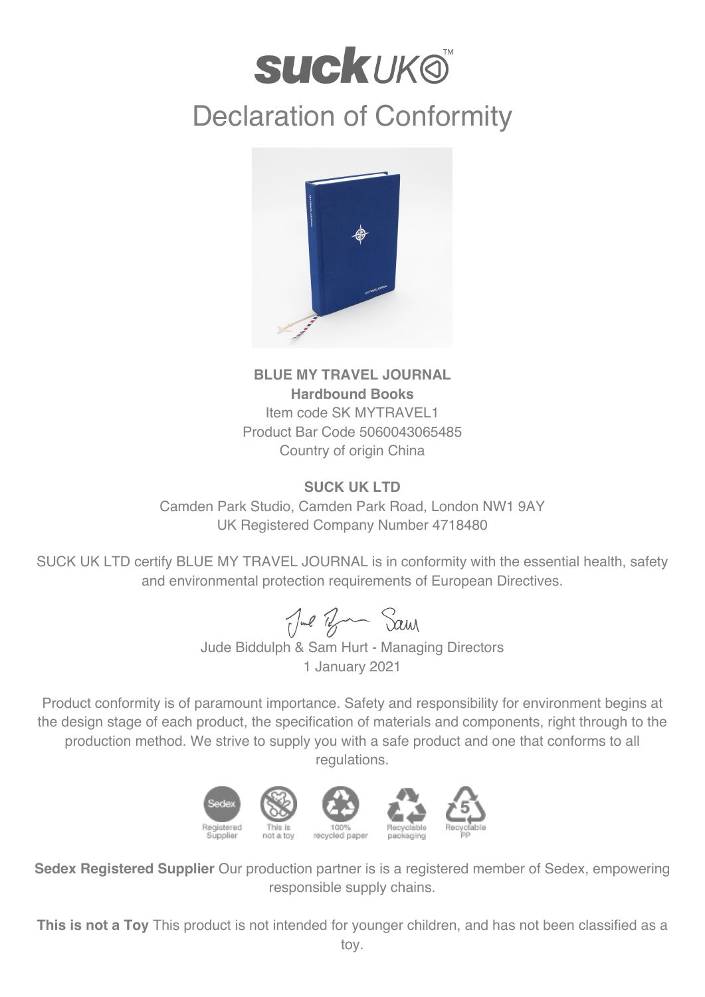## **suckuk®** Declaration of Conformity



## **BLUE MY TRAVEL JOURNAL Hardbound Books** Item code SK MYTRAVEL1 Product Bar Code 5060043065485 Country of origin China

## **SUCK UK LTD**

Camden Park Studio, Camden Park Road, London NW1 9AY UK Registered Company Number 4718480

SUCK UK LTD certify BLUE MY TRAVEL JOURNAL is in conformity with the essential health, safety and environmental protection requirements of European Directives.

Jul Ban Sam

Jude Biddulph & Sam Hurt - Managing Directors 1 January 2021

Product conformity is of paramount importance. Safety and responsibility for environment begins at the design stage of each product, the specification of materials and components, right through to the production method. We strive to supply you with a safe product and one that conforms to all regulations.



**Sedex Registered Supplier** Our production partner is is a registered member of Sedex, empowering responsible supply chains.

**This is not a Toy** This product is not intended for younger children, and has not been classified as a toy.